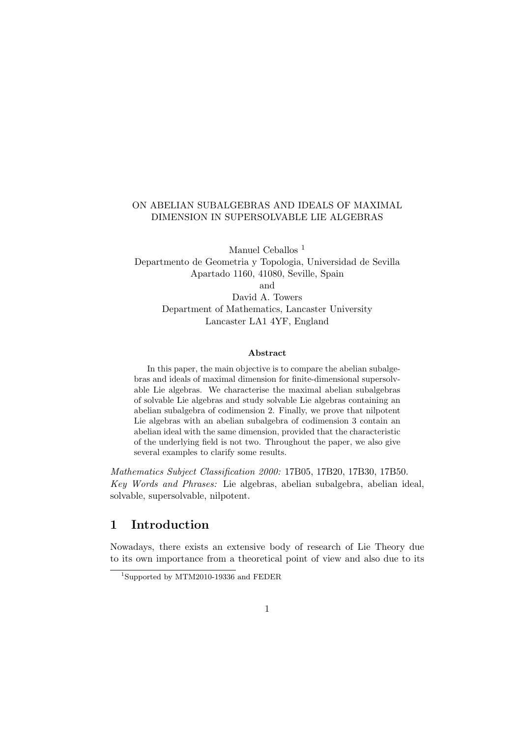#### ON ABELIAN SUBALGEBRAS AND IDEALS OF MAXIMAL DIMENSION IN SUPERSOLVABLE LIE ALGEBRAS

Manuel Ceballos<sup>1</sup> Departmento de Geometria y Topologia, Universidad de Sevilla Apartado 1160, 41080, Seville, Spain and David A. Towers Department of Mathematics, Lancaster University Lancaster LA1 4YF, England

#### Abstract

In this paper, the main objective is to compare the abelian subalgebras and ideals of maximal dimension for finite-dimensional supersolvable Lie algebras. We characterise the maximal abelian subalgebras of solvable Lie algebras and study solvable Lie algebras containing an abelian subalgebra of codimension 2. Finally, we prove that nilpotent Lie algebras with an abelian subalgebra of codimension 3 contain an abelian ideal with the same dimension, provided that the characteristic of the underlying field is not two. Throughout the paper, we also give several examples to clarify some results.

Mathematics Subject Classification 2000: 17B05, 17B20, 17B30, 17B50. Key Words and Phrases: Lie algebras, abelian subalgebra, abelian ideal, solvable, supersolvable, nilpotent.

### 1 Introduction

Nowadays, there exists an extensive body of research of Lie Theory due to its own importance from a theoretical point of view and also due to its

<sup>1</sup>Supported by MTM2010-19336 and FEDER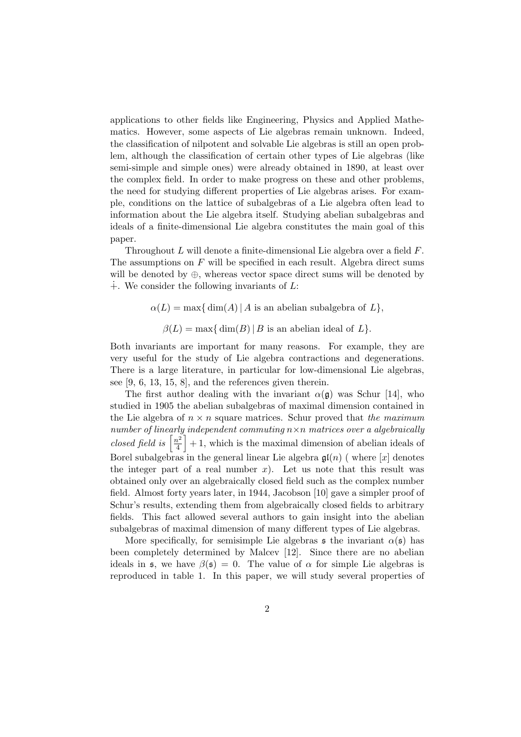applications to other fields like Engineering, Physics and Applied Mathematics. However, some aspects of Lie algebras remain unknown. Indeed, the classification of nilpotent and solvable Lie algebras is still an open problem, although the classification of certain other types of Lie algebras (like semi-simple and simple ones) were already obtained in 1890, at least over the complex field. In order to make progress on these and other problems, the need for studying different properties of Lie algebras arises. For example, conditions on the lattice of subalgebras of a Lie algebra often lead to information about the Lie algebra itself. Studying abelian subalgebras and ideals of a finite-dimensional Lie algebra constitutes the main goal of this paper.

Throughout L will denote a finite-dimensional Lie algebra over a field F. The assumptions on  $F$  will be specified in each result. Algebra direct sums will be denoted by  $\oplus$ , whereas vector space direct sums will be denoted by  $\ddot{+}$ . We consider the following invariants of L:

- $\alpha(L) = \max\{\dim(A) | A$  is an abelian subalgebra of  $L\},\$ 
	- $\beta(L) = \max\{\dim(B) | B \text{ is an abelian ideal of } L\}.$

Both invariants are important for many reasons. For example, they are very useful for the study of Lie algebra contractions and degenerations. There is a large literature, in particular for low-dimensional Lie algebras, see [9, 6, 13, 15, 8], and the references given therein.

The first author dealing with the invariant  $\alpha(\mathfrak{g})$  was Schur [14], who studied in 1905 the abelian subalgebras of maximal dimension contained in the Lie algebra of  $n \times n$  square matrices. Schur proved that the maximum number of linearly independent commuting  $n \times n$  matrices over a algebraically closed field is  $\left\lceil \frac{n^2}{4} \right\rceil$  $\left[\frac{h^2}{4}\right] + 1$ , which is the maximal dimension of abelian ideals of Borel subalgebras in the general linear Lie algebra  $\mathfrak{gl}(n)$  (where  $[x]$  denotes the integer part of a real number  $x$ ). Let us note that this result was obtained only over an algebraically closed field such as the complex number field. Almost forty years later, in 1944, Jacobson [10] gave a simpler proof of Schur's results, extending them from algebraically closed fields to arbitrary fields. This fact allowed several authors to gain insight into the abelian subalgebras of maximal dimension of many different types of Lie algebras.

More specifically, for semisimple Lie algebras  $\mathfrak s$  the invariant  $\alpha(\mathfrak s)$  has been completely determined by Malcev [12]. Since there are no abelian ideals in  $\mathfrak{s}$ , we have  $\beta(\mathfrak{s}) = 0$ . The value of  $\alpha$  for simple Lie algebras is reproduced in table 1. In this paper, we will study several properties of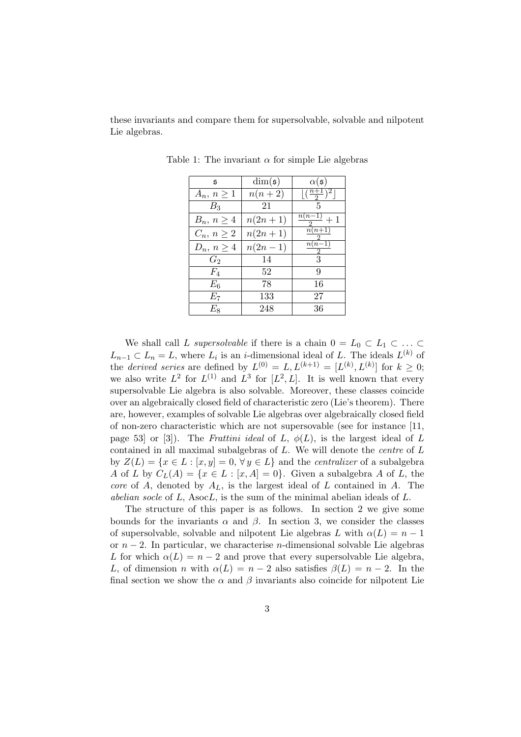these invariants and compare them for supersolvable, solvable and nilpotent Lie algebras.

| $\mathfrak s$   | $\dim(\mathfrak{s})$ | $\alpha(\mathfrak{s})$    |
|-----------------|----------------------|---------------------------|
| $A_n, n \geq 1$ | $n(n+2)$             | $\frac{(n+1)}{2}$         |
| $B_3$           | 21                   | 5                         |
| $B_n, n \geq 4$ | $n(2n+1)$            | $\frac{n(n-1)}{2}+1$      |
| $C_n, n \geq 2$ | $n(2n + 1)$          | $\overline{n}(n+1)$<br>2. |
| $D_n, n \geq 4$ | $n(2n-1)$            | $\overline{n(n-1)}$<br>2  |
| $G_2$           | 14                   | 3                         |
| $F_4$           | 52                   | 9                         |
| $E_6$           | 78                   | 16                        |
| $E_7$           | 133                  | 27                        |
| $E_8\,$         | 248                  | 36                        |

Table 1: The invariant  $\alpha$  for simple Lie algebras

We shall call L supersolvable if there is a chain  $0 = L_0 \subset L_1 \subset \ldots \subset$  $L_{n-1} \subset L_n = L$ , where  $L_i$  is an *i*-dimensional ideal of L. The ideals  $L^{(k)}$  of the *derived series* are defined by  $L^{(0)} = L, L^{(k+1)} = [L^{(k)}, L^{(k)}]$  for  $k \ge 0$ ; we also write  $L^2$  for  $L^{(1)}$  and  $L^3$  for  $[L^2, L]$ . It is well known that every supersolvable Lie algebra is also solvable. Moreover, these classes coincide over an algebraically closed field of characteristic zero (Lie's theorem). There are, however, examples of solvable Lie algebras over algebraically closed field of non-zero characteristic which are not supersovable (see for instance [11, page 53] or [3]). The Frattini ideal of L,  $\phi(L)$ , is the largest ideal of L contained in all maximal subalgebras of L. We will denote the centre of L by  $Z(L) = \{x \in L : [x, y] = 0, \forall y \in L\}$  and the *centralizer* of a subalgebra A of L by  $C_L(A) = \{x \in L : [x, A] = 0\}$ . Given a subalgebra A of L, the core of A, denoted by  $A_L$ , is the largest ideal of L contained in A. The abelian socle of  $L$ , Asoc $L$ , is the sum of the minimal abelian ideals of  $L$ .

The structure of this paper is as follows. In section 2 we give some bounds for the invariants  $\alpha$  and  $\beta$ . In section 3, we consider the classes of supersolvable, solvable and nilpotent Lie algebras L with  $\alpha(L) = n - 1$ or  $n-2$ . In particular, we characterise n-dimensional solvable Lie algebras L for which  $\alpha(L) = n - 2$  and prove that every supersolvable Lie algebra, L, of dimension n with  $\alpha(L) = n - 2$  also satisfies  $\beta(L) = n - 2$ . In the final section we show the  $\alpha$  and  $\beta$  invariants also coincide for nilpotent Lie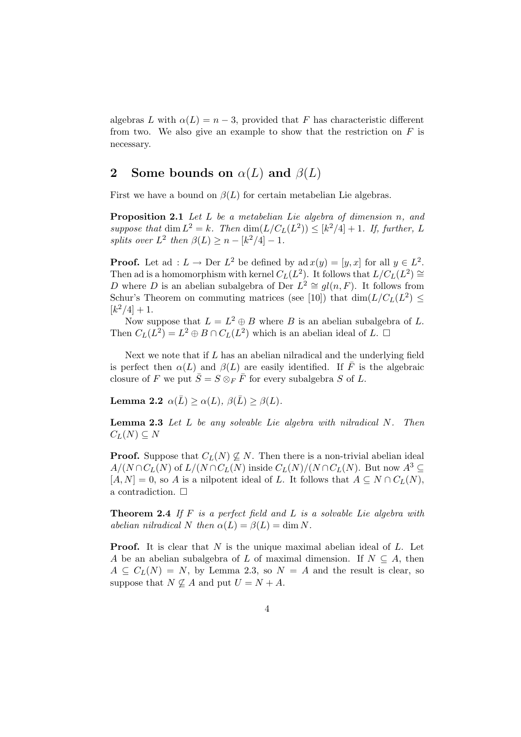algebras L with  $\alpha(L) = n - 3$ , provided that F has characteristic different from two. We also give an example to show that the restriction on  $F$  is necessary.

## 2 Some bounds on  $\alpha(L)$  and  $\beta(L)$

First we have a bound on  $\beta(L)$  for certain metabelian Lie algebras.

Proposition 2.1 Let L be a metabelian Lie algebra of dimension n, and suppose that  $\dim L^2 = k$ . Then  $\dim(L/C_L(L^2)) \leq [k^2/4] + 1$ . If, further, L splits over  $L^2$  then  $\beta(L) \geq n - \lfloor k^2/4 \rfloor - 1$ .

**Proof.** Let ad :  $L \to \text{Der } L^2$  be defined by ad  $x(y) = [y, x]$  for all  $y \in L^2$ . Then ad is a homomorphism with kernel  $C_L(L^2)$ . It follows that  $L/C_L(L^2) \cong$ D where D is an abelian subalgebra of Der  $L^2 \cong gl(n, F)$ . It follows from Schur's Theorem on commuting matrices (see [10]) that  $\dim(L/C_L(L^2) \leq$  $[k^2/4]+1.$ 

Now suppose that  $L = L^2 \oplus B$  where B is an abelian subalgebra of L. Then  $C_L(L^2) = L^2 \oplus B \cap C_L(L^2)$  which is an abelian ideal of  $L$ .  $\Box$ 

Next we note that if  $L$  has an abelian nilradical and the underlying field is perfect then  $\alpha(L)$  and  $\beta(L)$  are easily identified. If  $\overline{F}$  is the algebraic closure of F we put  $\bar{S} = S \otimes_F \bar{F}$  for every subalgebra S of L.

Lemma 2.2  $\alpha(\bar{L}) > \alpha(L)$ ,  $\beta(\bar{L}) > \beta(L)$ .

**Lemma 2.3** Let  $L$  be any solvable Lie algebra with nilradical  $N$ . Then  $C_L(N) \subseteq N$ 

**Proof.** Suppose that  $C_L(N) \nsubseteq N$ . Then there is a non-trivial abelian ideal  $A/(N \cap C_L(N))$  of  $L/(N \cap C_L(N))$  inside  $C_L(N)/(N \cap C_L(N))$ . But now  $A^3 \subseteq$  $[A, N] = 0$ , so A is a nilpotent ideal of L. It follows that  $A \subseteq N \cap C_L(N)$ , a contradiction.  $\Box$ 

**Theorem 2.4** If  $F$  is a perfect field and  $L$  is a solvable Lie algebra with abelian nilradical N then  $\alpha(L) = \beta(L) = \dim N$ .

**Proof.** It is clear that  $N$  is the unique maximal abelian ideal of  $L$ . Let A be an abelian subalgebra of L of maximal dimension. If  $N \subseteq A$ , then  $A \subseteq C_L(N) = N$ , by Lemma 2.3, so  $N = A$  and the result is clear, so suppose that  $N \not\subseteq A$  and put  $U = N + A$ .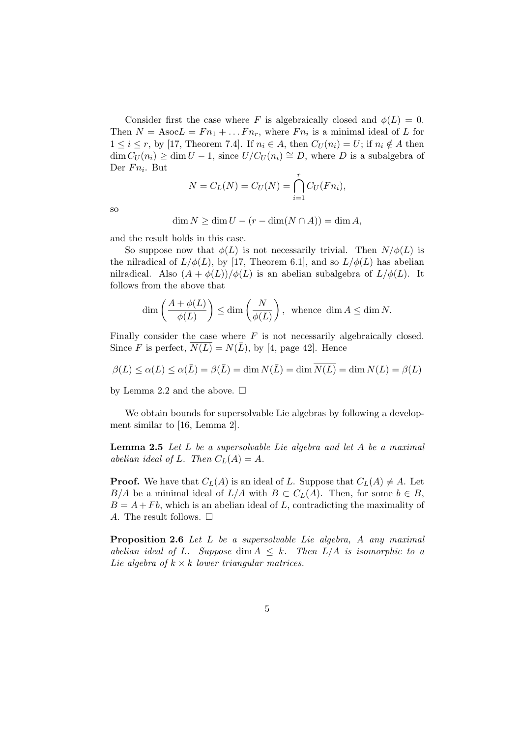Consider first the case where F is algebraically closed and  $\phi(L) = 0$ . Then  $N = \text{Asoc}L = Fn_1 + \dots Fn_r$ , where  $Fn_i$  is a minimal ideal of L for  $1 \leq i \leq r$ , by [17, Theorem 7.4]. If  $n_i \in A$ , then  $C_U(n_i) = U$ ; if  $n_i \notin A$  then  $\dim C_U(n_i) \geq \dim U - 1$ , since  $U/C_U(n_i) \cong D$ , where D is a subalgebra of Der  $Fn_i$ . But

$$
N = C_L(N) = C_U(N) = \bigcap_{i=1}^{r} C_U(Fn_i),
$$

so

$$
\dim N \ge \dim U - (r - \dim(N \cap A)) = \dim A,
$$

and the result holds in this case.

So suppose now that  $\phi(L)$  is not necessarily trivial. Then  $N/\phi(L)$  is the nilradical of  $L/\phi(L)$ , by [17, Theorem 6.1], and so  $L/\phi(L)$  has abelian nilradical. Also  $(A + \phi(L))/\phi(L)$  is an abelian subalgebra of  $L/\phi(L)$ . It follows from the above that

$$
\dim\left(\frac{A+\phi(L)}{\phi(L)}\right)\leq\dim\left(\frac{N}{\phi(L)}\right),\;\;\text{whence}\;\dim A\leq\dim N.
$$

Finally consider the case where  $F$  is not necessarily algebraically closed. Since F is perfect,  $N(L) = N(\overline{L})$ , by [4, page 42]. Hence

$$
\beta(L) \le \alpha(L) \le \alpha(\bar{L}) = \beta(\bar{L}) = \dim N(\bar{L}) = \dim \overline{N(L)} = \dim N(L) = \beta(L)
$$

by Lemma 2.2 and the above.  $\square$ 

We obtain bounds for supersolvable Lie algebras by following a development similar to [16, Lemma 2].

**Lemma 2.5** Let  $L$  be a supersolvable Lie algebra and let  $A$  be a maximal abelian ideal of L. Then  $C<sub>L</sub>(A) = A$ .

**Proof.** We have that  $C_L(A)$  is an ideal of L. Suppose that  $C_L(A) \neq A$ . Let  $B/A$  be a minimal ideal of  $L/A$  with  $B \subset C<sub>L</sub>(A)$ . Then, for some  $b \in B$ ,  $B = A + Fb$ , which is an abelian ideal of L, contradicting the maximality of A. The result follows.  $\square$ 

Proposition 2.6 Let L be a supersolvable Lie algebra, A any maximal abelian ideal of L. Suppose dim  $A \leq k$ . Then  $L/A$  is isomorphic to a Lie algebra of  $k \times k$  lower triangular matrices.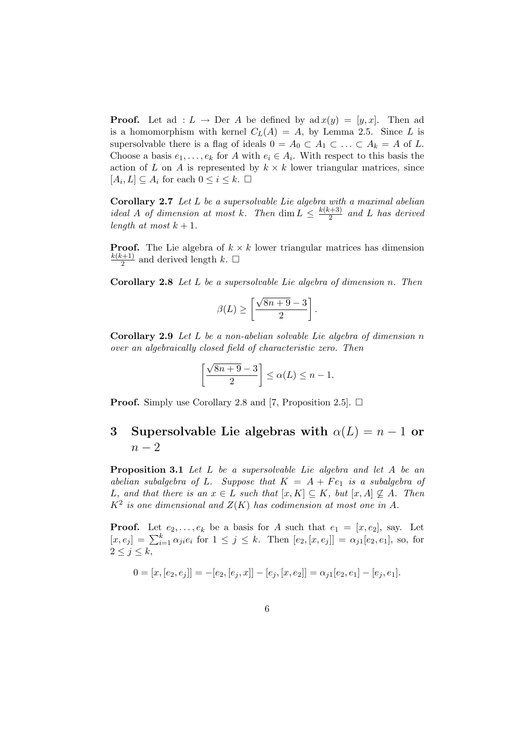**Proof.** Let ad :  $L \rightarrow$  Der A be defined by ad  $x(y) = [y, x]$ . Then ad is a homomorphism with kernel  $C<sub>L</sub>(A) = A$ , by Lemma 2.5. Since L is supersolvable there is a flag of ideals  $0 = A_0 \subset A_1 \subset \ldots \subset A_k = A$  of L. Choose a basis  $e_1, \ldots, e_k$  for A with  $e_i \in A_i$ . With respect to this basis the action of L on A is represented by  $k \times k$  lower triangular matrices, since  $[A_i, L] \subseteq A_i$  for each  $0 \leq i \leq k$ .  $\Box$ 

Corollary 2.7 Let L be a supersolvable Lie algebra with a maximal abelian ideal A of dimension at most k. Then  $\dim L \leq \frac{k(k+3)}{2}$  $\frac{a+3j}{2}$  and L has derived length at most  $k + 1$ .

**Proof.** The Lie algebra of  $k \times k$  lower triangular matrices has dimension  $k(k+1)$  $\frac{(n+1)}{2}$  and derived length  $k$ .  $\square$ 

Corollary 2.8 Let L be a supersolvable Lie algebra of dimension n. Then

$$
\beta(L) \ge \left[\frac{\sqrt{8n+9}-3}{2}\right].
$$

Corollary 2.9 Let L be a non-abelian solvable Lie algebra of dimension n over an algebraically closed field of characteristic zero. Then

$$
\left[\frac{\sqrt{8n+9}-3}{2}\right] \leq \alpha(L) \leq n-1.
$$

**Proof.** Simply use Corollary 2.8 and [7, Proposition 2.5].  $\Box$ 

# 3 Supersolvable Lie algebras with  $\alpha(L) = n - 1$  or  $n-2$

Proposition 3.1 Let L be a supersolvable Lie algebra and let A be an abelian subalgebra of L. Suppose that  $K = A + Fe_1$  is a subalgebra of L, and that there is an  $x \in L$  such that  $[x, K] \subseteq K$ , but  $[x, A] \nsubseteq A$ . Then  $K^2$  is one dimensional and  $Z(K)$  has codimension at most one in A.

**Proof.** Let  $e_2, \ldots, e_k$  be a basis for A such that  $e_1 = [x, e_2]$ , say. Let  $[x, e_j] = \sum_{i=1}^{k} \alpha_{ji} e_i$  for  $1 \leq j \leq k$ . Then  $[e_2, [x, e_j]] = \alpha_{j1}[e_2, e_1]$ , so, for  $2 \leq j \leq k$ ,

$$
0 = [x, [e_2, e_j]] = -[e_2, [e_j, x]] - [e_j, [x, e_2]] = \alpha_{j1}[e_2, e_1] - [e_j, e_1].
$$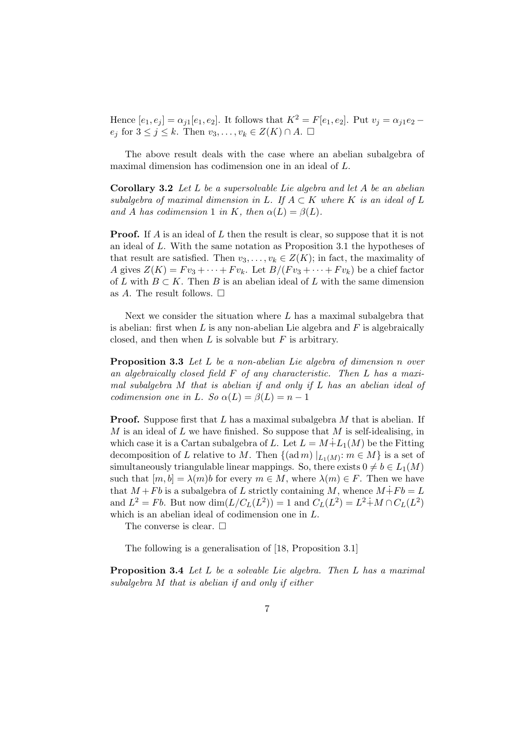Hence  $[e_1, e_j] = \alpha_{i1}[e_1, e_2]$ . It follows that  $K^2 = F[e_1, e_2]$ . Put  $v_j = \alpha_{i1}e_2$  $e_j$  for  $3 \leq j \leq k$ . Then  $v_3, \ldots, v_k \in Z(K) \cap A$ .  $\Box$ 

The above result deals with the case where an abelian subalgebra of maximal dimension has codimension one in an ideal of L.

**Corollary 3.2** Let  $L$  be a supersolvable Lie algebra and let  $A$  be an abelian subalgebra of maximal dimension in L. If  $A \subset K$  where K is an ideal of L and A has codimension 1 in K, then  $\alpha(L) = \beta(L)$ .

**Proof.** If A is an ideal of L then the result is clear, so suppose that it is not an ideal of L. With the same notation as Proposition 3.1 the hypotheses of that result are satisfied. Then  $v_3, \ldots, v_k \in Z(K)$ ; in fact, the maximality of A gives  $Z(K) = F v_3 + \cdots + F v_k$ . Let  $B/(F v_3 + \cdots + F v_k)$  be a chief factor of L with  $B \subset K$ . Then B is an abelian ideal of L with the same dimension as A. The result follows.  $\Box$ 

Next we consider the situation where  $L$  has a maximal subalgebra that is abelian: first when  $L$  is any non-abelian Lie algebra and  $F$  is algebraically closed, and then when  $L$  is solvable but  $F$  is arbitrary.

Proposition 3.3 Let L be a non-abelian Lie algebra of dimension n over an algebraically closed field F of any characteristic. Then L has a maximal subalgebra  $M$  that is abelian if and only if  $L$  has an abelian ideal of codimension one in L. So  $\alpha(L) = \beta(L) = n - 1$ 

**Proof.** Suppose first that L has a maximal subalgebra  $M$  that is abelian. If M is an ideal of L we have finished. So suppose that M is self-idealising, in which case it is a Cartan subalgebra of L. Let  $L = M + L_1(M)$  be the Fitting decomposition of L relative to M. Then  $\{(\text{ad }m) |_{L_1(M)}: m \in M\}$  is a set of simultaneously triangulable linear mappings. So, there exists  $0 \neq b \in L_1(M)$ such that  $[m, b] = \lambda(m)b$  for every  $m \in M$ , where  $\lambda(m) \in F$ . Then we have that  $M + Fb$  is a subalgebra of L strictly containing M, whence  $M \dot{+} Fb = L$ and  $L^2 = Fb$ . But now  $\dim(L/C_L(L^2)) = 1$  and  $C_L(L^2) = L^2 + M \cap C_L(L^2)$ which is an abelian ideal of codimension one in L.

The converse is clear.  $\square$ 

The following is a generalisation of [18, Proposition 3.1]

Proposition 3.4 Let L be a solvable Lie algebra. Then L has a maximal subalgebra M that is abelian if and only if either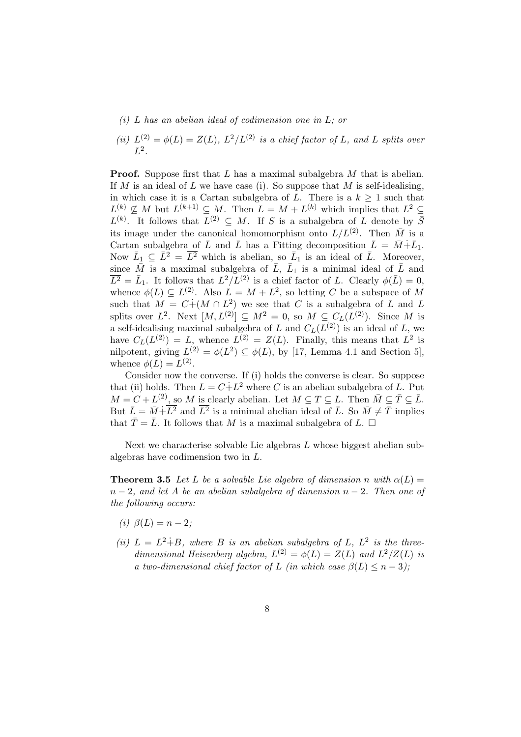- (i) L has an abelian ideal of codimension one in  $L$ ; or
- (ii)  $L^{(2)} = \phi(L) = Z(L)$ ,  $L^2/L^{(2)}$  is a chief factor of L, and L splits over  $L^2$ .

**Proof.** Suppose first that L has a maximal subalgebra M that is abelian. If M is an ideal of L we have case (i). So suppose that M is self-idealising, in which case it is a Cartan subalgebra of L. There is a  $k \geq 1$  such that  $L^{(k)} \nsubseteq M$  but  $L^{(k+1)} \subseteq M$ . Then  $L = M + L^{(k)}$  which implies that  $L^2 \subseteq$  $L^{(k)}$ . It follows that  $L^{(2)} \subseteq M$ . If S is a subalgebra of L denote by  $\overline{S}$ its image under the canonical homomorphism onto  $L/L^{(2)}$ . Then  $\overline{M}$  is a Cartan subalgebra of  $\bar{L}$  and  $\bar{L}$  has a Fitting decomposition  $\bar{L} = \bar{M} + \bar{L}_1$ . Now  $\bar{L}_1 \subseteq \bar{L}^2 = \bar{L}^2$  which is abelian, so  $\bar{L}_1$  is an ideal of  $\bar{L}$ . Moreover, since  $\bar{M}$  is a maximal subalgebra of  $\bar{L}$ ,  $\bar{L}_1$  is a minimal ideal of  $\bar{L}$  and  $\overline{L^2} = \overline{L}_1$ . It follows that  $L^2/L^{(2)}$  is a chief factor of L. Clearly  $\phi(\overline{L}) = 0$ , whence  $\phi(L) \subseteq L^{(2)}$ . Also  $L = M + L^2$ , so letting C be a subspace of M such that  $M = C + (M \cap L^2)$  we see that C is a subalgebra of L and L splits over  $L^2$ . Next  $[M, L^{(2)}] \subseteq M^2 = 0$ , so  $M \subseteq C_L(L^{(2)})$ . Since M is a self-idealising maximal subalgebra of L and  $C_L(L^{(2)})$  is an ideal of L, we have  $C_L(L^{(2)}) = L$ , whence  $L^{(2)} = Z(L)$ . Finally, this means that  $L^2$  is nilpotent, giving  $L^{(2)} = \phi(L^2) \subseteq \phi(L)$ , by [17, Lemma 4.1 and Section 5], whence  $\phi(L) = L^{(2)}$ .

Consider now the converse. If (i) holds the converse is clear. So suppose that (ii) holds. Then  $L = C \dot{+} L^2$  where C is an abelian subalgebra of L. Put  $M = C + L^{(2)}$ , so M is clearly abelian. Let  $M \subseteq T \subseteq L$ . Then  $\overline{M} \subseteq \overline{T} \subseteq \overline{L}$ . But  $\bar{L} = \bar{M} + \bar{L}^2$  and  $\bar{L}^2$  is a minimal abelian ideal of  $\bar{L}$ . So  $\bar{M} \neq \bar{T}$  implies that  $\overline{T} = \overline{L}$ . It follows that M is a maximal subalgebra of L.  $\Box$ 

Next we characterise solvable Lie algebras  $L$  whose biggest abelian subalgebras have codimension two in L.

**Theorem 3.5** Let L be a solvable Lie algebra of dimension n with  $\alpha(L)$  =  $n-2$ , and let A be an abelian subalgebra of dimension  $n-2$ . Then one of the following occurs:

- (i)  $\beta(L) = n 2$ ;
- (ii)  $L = L^2 \dot{+} B$ , where B is an abelian subalgebra of L,  $L^2$  is the threedimensional Heisenberg algebra,  $L^{(2)} = \phi(L) = Z(L)$  and  $L^2/Z(L)$  is a two-dimensional chief factor of L (in which case  $\beta(L) \leq n-3$ );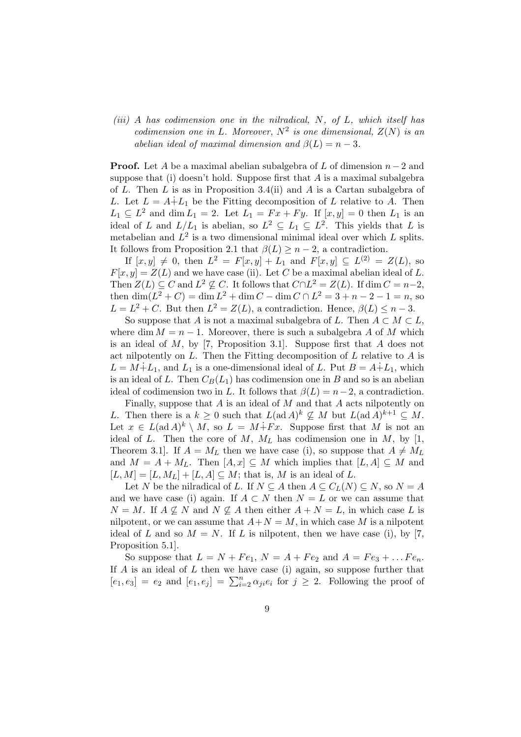$(iii)$  A has codimension one in the nilradical, N, of L, which itself has codimension one in L. Moreover,  $N^2$  is one dimensional,  $Z(N)$  is an abelian ideal of maximal dimension and  $\beta(L) = n - 3$ .

**Proof.** Let A be a maximal abelian subalgebra of L of dimension  $n-2$  and suppose that (i) doesn't hold. Suppose first that  $A$  is a maximal subalgebra of L. Then L is as in Proposition 3.4(ii) and A is a Cartan subalgebra of L. Let  $L = A + L_1$  be the Fitting decomposition of L relative to A. Then  $L_1 \subseteq L^2$  and dim  $L_1 = 2$ . Let  $L_1 = Fx + Fy$ . If  $[x, y] = 0$  then  $L_1$  is an ideal of L and  $L/L_1$  is abelian, so  $L^2 \subseteq L_1 \subseteq L^2$ . This yields that L is metabelian and  $L^2$  is a two dimensional minimal ideal over which L splits. It follows from Proposition 2.1 that  $\beta(L) \geq n-2$ , a contradiction.

If  $[x, y] \neq 0$ , then  $L^2 = F[x, y] + L_1$  and  $F[x, y] \subseteq L^{(2)} = Z(L)$ , so  $F[x, y] = Z(L)$  and we have case (ii). Let C be a maximal abelian ideal of L. Then  $Z(L) \subseteq C$  and  $L^2 \nsubseteq C$ . It follows that  $C \cap L^2 = Z(L)$ . If  $\dim C = n-2$ , then  $\dim(L^2 + C) = \dim L^2 + \dim C - \dim C \cap L^2 = 3 + n - 2 - 1 = n$ , so  $L = L^2 + C$ . But then  $L^2 = Z(L)$ , a contradiction. Hence,  $\beta(L) \leq n - 3$ .

So suppose that A is not a maximal subalgebra of L. Then  $A \subset M \subset L$ , where dim  $M = n - 1$ . Moreover, there is such a subalgebra A of M which is an ideal of  $M$ , by [7, Proposition 3.1]. Suppose first that  $A$  does not act nilpotently on  $L$ . Then the Fitting decomposition of  $L$  relative to  $A$  is  $L = M \dot{+} L_1$ , and  $L_1$  is a one-dimensional ideal of L. Put  $B = A \dot{+} L_1$ , which is an ideal of L. Then  $C_B(L_1)$  has codimension one in B and so is an abelian ideal of codimension two in L. It follows that  $\beta(L) = n-2$ , a contradiction.

Finally, suppose that  $A$  is an ideal of  $M$  and that  $A$  acts nilpotently on L. Then there is a  $k \geq 0$  such that  $L(\text{ad }A)^k \nsubseteq M$  but  $L(\text{ad }A)^{k+1} \subseteq M$ . Let  $x \in L(\text{ad }A)^k \setminus M$ , so  $L = M \dot{+} F x$ . Suppose first that M is not an ideal of L. Then the core of M,  $M_L$  has codimension one in M, by [1, Theorem 3.1. If  $A = M_L$  then we have case (i), so suppose that  $A \neq M_L$ and  $M = A + M_L$ . Then  $[A, x] \subseteq M$  which implies that  $[L, A] \subseteq M$  and  $[L, M] = [L, M<sub>L</sub>] + [L, A] \subseteq M$ ; that is, M is an ideal of L.

Let N be the nilradical of L. If  $N \subseteq A$  then  $A \subseteq C_L(N) \subseteq N$ , so  $N = A$ and we have case (i) again. If  $A \subset N$  then  $N = L$  or we can assume that  $N = M$ . If  $A \nsubseteq N$  and  $N \nsubseteq A$  then either  $A + N = L$ , in which case L is nilpotent, or we can assume that  $A+N = M$ , in which case M is a nilpotent ideal of L and so  $M = N$ . If L is nilpotent, then we have case (i), by [7, Proposition 5.1].

So suppose that  $L = N + Fe_1$ ,  $N = A + Fe_2$  and  $A = Fe_3 + \dots Fe_n$ . If  $A$  is an ideal of  $L$  then we have case (i) again, so suppose further that  $[e_1, e_3] = e_2$  and  $[e_1, e_j] = \sum_{i=2}^n \alpha_{ji} e_i$  for  $j \geq 2$ . Following the proof of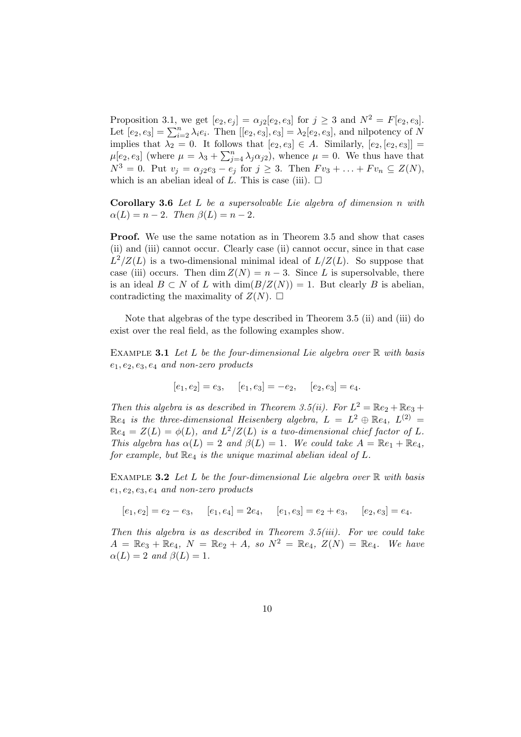Proposition 3.1, we get  $[e_2, e_j] = \alpha_{j2}[e_2, e_3]$  for  $j \ge 3$  and  $N^2 = F[e_2, e_3]$ . Let  $[e_2, e_3] = \sum_{i=2}^n \lambda_i e_i$ . Then  $[[e_2, e_3], e_3] = \lambda_2 [e_2, e_3]$ , and nilpotency of N implies that  $\lambda_2 = 0$ . It follows that  $[e_2, e_3] \in A$ . Similarly,  $[e_2, [e_2, e_3]] =$  $\mu[e_2, e_3]$  (where  $\mu = \lambda_3 + \sum_{j=4}^n \lambda_j \alpha_{j2}$ ), whence  $\mu = 0$ . We thus have that  $N^3 = 0$ . Put  $v_j = \alpha_{j2}e_3 - e_j$  for  $j \ge 3$ . Then  $F v_3 + \ldots + F v_n \subseteq Z(N)$ , which is an abelian ideal of L. This is case (iii).  $\Box$ 

Corollary 3.6 Let L be a supersolvable Lie algebra of dimension n with  $\alpha(L) = n - 2$ . Then  $\beta(L) = n - 2$ .

Proof. We use the same notation as in Theorem 3.5 and show that cases (ii) and (iii) cannot occur. Clearly case (ii) cannot occur, since in that case  $L^2/Z(L)$  is a two-dimensional minimal ideal of  $L/Z(L)$ . So suppose that case (iii) occurs. Then dim  $Z(N) = n - 3$ . Since L is supersolvable, there is an ideal  $B \subset N$  of L with  $\dim(B/Z(N)) = 1$ . But clearly B is abelian, contradicting the maximality of  $Z(N)$ .  $\square$ 

Note that algebras of the type described in Theorem 3.5 (ii) and (iii) do exist over the real field, as the following examples show.

EXAMPLE 3.1 Let L be the four-dimensional Lie algebra over  $\mathbb R$  with basis  $e_1, e_2, e_3, e_4$  and non-zero products

$$
[e_1, e_2] = e_3
$$
,  $[e_1, e_3] = -e_2$ ,  $[e_2, e_3] = e_4$ .

Then this algebra is as described in Theorem 3.5(ii). For  $L^2 = \mathbb{R}e_2 + \mathbb{R}e_3 +$  $\mathbb{R}e_4$  is the three-dimensional Heisenberg algebra,  $L = L^2 \oplus \mathbb{R}e_4$ ,  $L^{(2)} =$  $\mathbb{R}e_4 = Z(L) = \phi(L)$ , and  $L^2/Z(L)$  is a two-dimensional chief factor of L. This algebra has  $\alpha(L) = 2$  and  $\beta(L) = 1$ . We could take  $A = \mathbb{R}e_1 + \mathbb{R}e_4$ , for example, but  $\mathbb{R}e_4$  is the unique maximal abelian ideal of L.

EXAMPLE 3.2 Let L be the four-dimensional Lie algebra over  $\mathbb R$  with basis  $e_1, e_2, e_3, e_4$  and non-zero products

 $[e_1, e_2] = e_2 - e_3$ ,  $[e_1, e_4] = 2e_4$ ,  $[e_1, e_3] = e_2 + e_3$ ,  $[e_2, e_3] = e_4$ .

Then this algebra is as described in Theorem 3.5(iii). For we could take  $A = \mathbb{R}e_3 + \mathbb{R}e_4$ ,  $N = \mathbb{R}e_2 + A$ , so  $N^2 = \mathbb{R}e_4$ ,  $Z(N) = \mathbb{R}e_4$ . We have  $\alpha(L) = 2$  and  $\beta(L) = 1$ .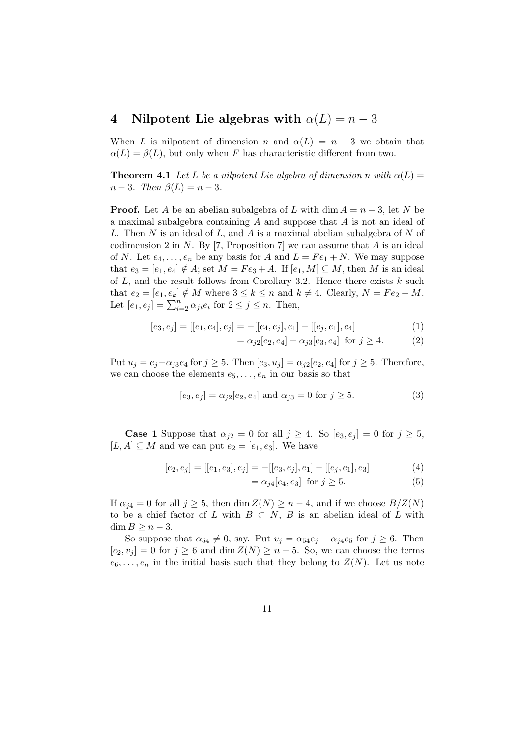### 4 Nilpotent Lie algebras with  $\alpha(L) = n - 3$

When L is nilpotent of dimension n and  $\alpha(L) = n-3$  we obtain that  $\alpha(L) = \beta(L)$ , but only when F has characteristic different from two.

**Theorem 4.1** Let L be a nilpotent Lie algebra of dimension n with  $\alpha(L)$  =  $n-3$ . Then  $\beta(L) = n-3$ .

**Proof.** Let A be an abelian subalgebra of L with dim  $A = n - 3$ , let N be a maximal subalgebra containing A and suppose that A is not an ideal of L. Then  $N$  is an ideal of  $L$ , and  $A$  is a maximal abelian subalgebra of  $N$  of codimension 2 in N. By [7, Proposition 7] we can assume that  $A$  is an ideal of N. Let  $e_4, \ldots, e_n$  be any basis for A and  $L = Fe_1 + N$ . We may suppose that  $e_3 = [e_1, e_4] \notin A$ ; set  $M = Fe_3 + A$ . If  $[e_1, M] \subseteq M$ , then M is an ideal of  $L$ , and the result follows from Corollary 3.2. Hence there exists  $k$  such that  $e_2 = [e_1, e_k] \notin M$  where  $3 \le k \le n$  and  $k \ne 4$ . Clearly,  $N = Fe_2 + M$ . Let  $[e_1, e_j] = \sum_{i=2}^{n} \alpha_{ji} e_i$  for  $2 \le j \le n$ . Then,

$$
[e_3, e_j] = [[e_1, e_4], e_j] = -[[e_4, e_j], e_1] - [[e_j, e_1], e_4]
$$
\n(1)

$$
= \alpha_{j2}[e_2, e_4] + \alpha_{j3}[e_3, e_4] \text{ for } j \ge 4. \tag{2}
$$

Put  $u_j = e_j - \alpha_{j3}e_4$  for  $j \geq 5$ . Then  $[e_3, u_j] = \alpha_{j2}[e_2, e_4]$  for  $j \geq 5$ . Therefore, we can choose the elements  $e_5, \ldots, e_n$  in our basis so that

$$
[e_3, e_j] = \alpha_{j2}[e_2, e_4]
$$
 and  $\alpha_{j3} = 0$  for  $j \ge 5$ . (3)

**Case 1** Suppose that  $\alpha_{j2} = 0$  for all  $j \geq 4$ . So  $[e_3, e_j] = 0$  for  $j \geq 5$ ,  $[L, A] \subseteq M$  and we can put  $e_2 = [e_1, e_3]$ . We have

$$
[e_2, e_j] = [[e_1, e_3], e_j] = -[[e_3, e_j], e_1] - [[e_j, e_1], e_3]
$$
(4)

$$
= \alpha_{j4}[e_4, e_3] \text{ for } j \ge 5. \tag{5}
$$

If  $\alpha_{i4} = 0$  for all  $j \geq 5$ , then dim  $Z(N) \geq n-4$ , and if we choose  $B/Z(N)$ to be a chief factor of L with  $B \subset N$ , B is an abelian ideal of L with  $\dim B \geq n-3$ .

So suppose that  $\alpha_{54} \neq 0$ , say. Put  $v_j = \alpha_{54}e_j - \alpha_{j4}e_5$  for  $j \geq 6$ . Then  $[e_2, v_j] = 0$  for  $j \ge 6$  and  $\dim Z(N) \ge n-5$ . So, we can choose the terms  $e_6, \ldots, e_n$  in the initial basis such that they belong to  $Z(N)$ . Let us note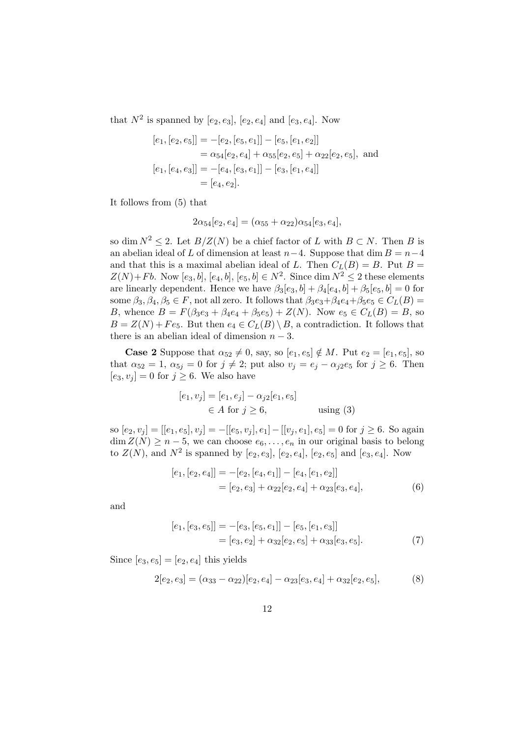that  $N^2$  is spanned by  $[e_2, e_3]$ ,  $[e_2, e_4]$  and  $[e_3, e_4]$ . Now

$$
[e_1, [e_2, e_5]] = -[e_2, [e_5, e_1]] - [e_5, [e_1, e_2]]
$$
  
\n
$$
= \alpha_{54}[e_2, e_4] + \alpha_{55}[e_2, e_5] + \alpha_{22}[e_2, e_5],
$$
 and  
\n
$$
[e_1, [e_4, e_3]] = -[e_4, [e_3, e_1]] - [e_3, [e_1, e_4]]
$$
  
\n
$$
= [e_4, e_2].
$$

It follows from (5) that

$$
2\alpha_{54}[e_2,e_4]=(\alpha_{55}+\alpha_{22})\alpha_{54}[e_3,e_4],
$$

so dim  $N^2 \leq 2$ . Let  $B/Z(N)$  be a chief factor of L with  $B \subset N$ . Then B is an abelian ideal of L of dimension at least  $n-4$ . Suppose that dim  $B = n-4$ and that this is a maximal abelian ideal of L. Then  $C<sub>L</sub>(B) = B$ . Put  $B =$  $Z(N) + Fb$ . Now  $[e_3, b]$ ,  $[e_4, b]$ ,  $[e_5, b] \in N^2$ . Since  $\dim N^2 \le 2$  these elements are linearly dependent. Hence we have  $\beta_3[e_3, b] + \beta_4[e_4, b] + \beta_5[e_5, b] = 0$  for some  $\beta_3, \beta_4, \beta_5 \in F$ , not all zero. It follows that  $\beta_3e_3+\beta_4e_4+\beta_5e_5 \in C_L(B)$ B, whence  $B = F(\beta_3e_3 + \beta_4e_4 + \beta_5e_5) + Z(N)$ . Now  $e_5 \in C_L(B) = B$ , so  $B = Z(N) + Fe_5$ . But then  $e_4 \in C_L(B) \setminus B$ , a contradiction. It follows that there is an abelian ideal of dimension  $n-3$ .

**Case 2** Suppose that  $\alpha_{52} \neq 0$ , say, so  $[e_1, e_5] \notin M$ . Put  $e_2 = [e_1, e_5]$ , so that  $\alpha_{52} = 1$ ,  $\alpha_{5j} = 0$  for  $j \neq 2$ ; put also  $v_j = e_j - \alpha_{j2}e_5$  for  $j \geq 6$ . Then  $[e_3, v_j] = 0$  for  $j \geq 6$ . We also have

$$
[e_1, v_j] = [e_1, e_j] - \alpha_{j2}[e_1, e_5]
$$
  
\n
$$
\in A \text{ for } j \ge 6, \qquad \text{using (3)}
$$

so  $[e_2, v_j] = [[e_1, e_5], v_j] = -[[e_5, v_j], e_1] - [[v_j, e_1], e_5] = 0$  for  $j \ge 6$ . So again  $\dim Z(N) \geq n-5$ , we can choose  $e_6, \ldots, e_n$  in our original basis to belong to  $Z(N)$ , and  $N^2$  is spanned by  $[e_2, e_3]$ ,  $[e_2, e_4]$ ,  $[e_2, e_5]$  and  $[e_3, e_4]$ . Now

$$
[e_1, [e_2, e_4]] = -[e_2, [e_4, e_1]] - [e_4, [e_1, e_2]]
$$
  
= 
$$
[e_2, e_3] + \alpha_{22}[e_2, e_4] + \alpha_{23}[e_3, e_4],
$$
 (6)

and

$$
[e_1, [e_3, e_5]] = -[e_3, [e_5, e_1]] - [e_5, [e_1, e_3]]
$$
  
= 
$$
[e_3, e_2] + \alpha_{32}[e_2, e_5] + \alpha_{33}[e_3, e_5].
$$
 (7)

Since  $[e_3, e_5] = [e_2, e_4]$  this yields

$$
2[e_2, e_3] = (\alpha_{33} - \alpha_{22})[e_2, e_4] - \alpha_{23}[e_3, e_4] + \alpha_{32}[e_2, e_5],
$$
 (8)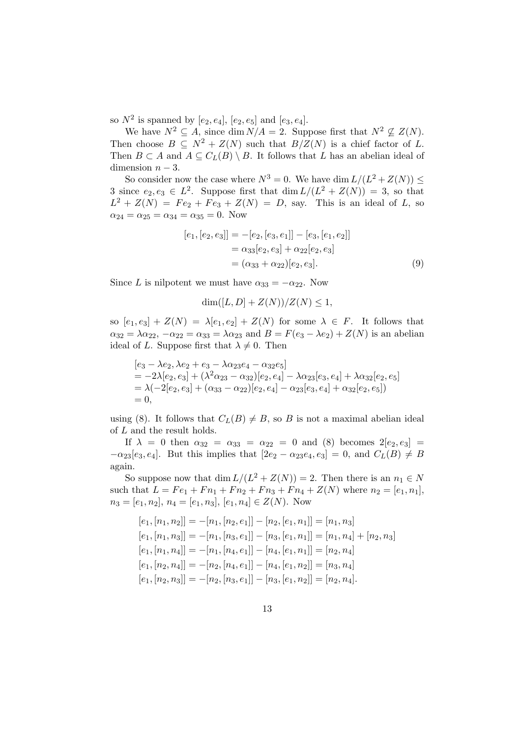so  $N^2$  is spanned by  $[e_2, e_4]$ ,  $[e_2, e_5]$  and  $[e_3, e_4]$ .

We have  $N^2 \subseteq A$ , since dim  $N/A = 2$ . Suppose first that  $N^2 \nsubseteq Z(N)$ . Then choose  $B \subseteq N^2 + Z(N)$  such that  $B/Z(N)$  is a chief factor of L. Then  $B \subset A$  and  $A \subseteq C_L(B) \setminus B$ . It follows that L has an abelian ideal of dimension  $n-3$ .

So consider now the case where  $N^3 = 0$ . We have dim  $L/(L^2 + Z(N)) \le$ 3 since  $e_2, e_3 \in L^2$ . Suppose first that  $\dim L/(L^2 + Z(N)) = 3$ , so that  $L^2 + Z(N) = Fe_2 + Fe_3 + Z(N) = D$ , say. This is an ideal of L, so  $\alpha_{24} = \alpha_{25} = \alpha_{34} = \alpha_{35} = 0$ . Now

$$
[e_1, [e_2, e_3]] = -[e_2, [e_3, e_1]] - [e_3, [e_1, e_2]]
$$
  

$$
= \alpha_{33}[e_2, e_3] + \alpha_{22}[e_2, e_3]
$$
  

$$
= (\alpha_{33} + \alpha_{22})[e_2, e_3].
$$
 (9)

Since L is nilpotent we must have  $\alpha_{33} = -\alpha_{22}$ . Now

$$
\dim([L, D] + Z(N))/Z(N) \le 1,
$$

so  $[e_1, e_3] + Z(N) = \lambda[e_1, e_2] + Z(N)$  for some  $\lambda \in F$ . It follows that  $\alpha_{32} = \lambda \alpha_{22}, -\alpha_{22} = \alpha_{33} = \lambda \alpha_{23}$  and  $B = F(e_3 - \lambda e_2) + Z(N)$  is an abelian ideal of L. Suppose first that  $\lambda \neq 0$ . Then

$$
[e_3 - \lambda e_2, \lambda e_2 + e_3 - \lambda \alpha_{23} e_4 - \alpha_{32} e_5]
$$
  
=  $-2\lambda[e_2, e_3] + (\lambda^2 \alpha_{23} - \alpha_{32})[e_2, e_4] - \lambda \alpha_{23}[e_3, e_4] + \lambda \alpha_{32}[e_2, e_5]$   
=  $\lambda(-2[e_2, e_3] + (\alpha_{33} - \alpha_{22})[e_2, e_4] - \alpha_{23}[e_3, e_4] + \alpha_{32}[e_2, e_5])$   
= 0,

using (8). It follows that  $C_L(B) \neq B$ , so B is not a maximal abelian ideal of L and the result holds.

If  $\lambda = 0$  then  $\alpha_{32} = \alpha_{33} = \alpha_{22} = 0$  and (8) becomes  $2[e_2, e_3] =$  $-\alpha_{23}[e_3, e_4]$ . But this implies that  $[2e_2 - \alpha_{23}e_4, e_3] = 0$ , and  $C_L(B) \neq B$ again.

So suppose now that  $\dim L/(L^2 + Z(N)) = 2$ . Then there is an  $n_1 \in N$ such that  $L = Fe_1 + Fn_1 + Fn_2 + Fn_3 + Fn_4 + Z(N)$  where  $n_2 = [e_1, n_1],$  $n_3 = [e_1, n_2], n_4 = [e_1, n_3], [e_1, n_4] \in Z(N)$ . Now

$$
[e_1, [n_1, n_2]] = -[n_1, [n_2, e_1]] - [n_2, [e_1, n_1]] = [n_1, n_3]
$$
  
\n
$$
[e_1, [n_1, n_3]] = -[n_1, [n_3, e_1]] - [n_3, [e_1, n_1]] = [n_1, n_4] + [n_2, n_3]
$$
  
\n
$$
[e_1, [n_1, n_4]] = -[n_1, [n_4, e_1]] - [n_4, [e_1, n_1]] = [n_2, n_4]
$$
  
\n
$$
[e_1, [n_2, n_4]] = -[n_2, [n_4, e_1]] - [n_4, [e_1, n_2]] = [n_3, n_4]
$$
  
\n
$$
[e_1, [n_2, n_3]] = -[n_2, [n_3, e_1]] - [n_3, [e_1, n_2]] = [n_2, n_4].
$$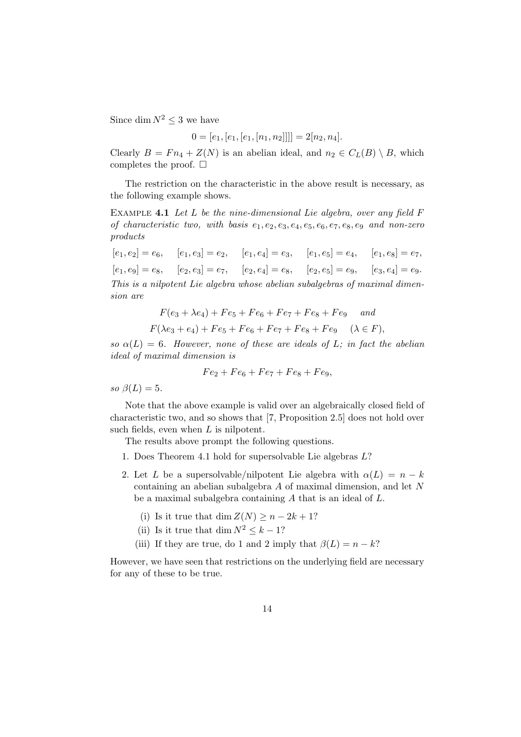Since dim  $N^2 < 3$  we have

$$
0 = [e_1, [e_1, [e_1, [n_1, n_2]]]] = 2[n_2, n_4].
$$

Clearly  $B = Fn_4+Z(N)$  is an abelian ideal, and  $n_2 \in C_L(B) \setminus B$ , which completes the proof.  $\square$ 

The restriction on the characteristic in the above result is necessary, as the following example shows.

EXAMPLE 4.1 Let L be the nine-dimensional Lie algebra, over any field  $F$ of characteristic two, with basis  $e_1, e_2, e_3, e_4, e_5, e_6, e_7, e_8, e_9$  and non-zero products

 $[e_1, e_2] = e_6, \quad [e_1, e_3] = e_2, \quad [e_1, e_4] = e_3, \quad [e_1, e_5] = e_4, \quad [e_1, e_8] = e_7,$  $[e_1, e_9] = e_8, \quad [e_2, e_3] = e_7, \quad [e_2, e_4] = e_8, \quad [e_2, e_5] = e_9, \quad [e_3, e_4] = e_9.$ This is a nilpotent Lie algebra whose abelian subalgebras of maximal dimension are

$$
F(e_3 + \lambda e_4) + Fe_5 + Fe_6 + Fe_7 + Fe_8 + Fe_9 \quad and
$$
  

$$
F(\lambda e_3 + e_4) + Fe_5 + Fe_6 + Fe_7 + Fe_8 + Fe_9 \quad (\lambda \in F),
$$

so  $\alpha(L) = 6$ . However, none of these are ideals of L; in fact the abelian ideal of maximal dimension is

$$
Fe2 + Fe6 + Fe7 + Fe8 + Fe9,
$$

so  $\beta(L) = 5$ .

Note that the above example is valid over an algebraically closed field of characteristic two, and so shows that [7, Proposition 2.5] does not hold over such fields, even when L is nilpotent.

The results above prompt the following questions.

- 1. Does Theorem 4.1 hold for supersolvable Lie algebras L?
- 2. Let L be a supersolvable/nilpotent Lie algebra with  $\alpha(L) = n k$ containing an abelian subalgebra A of maximal dimension, and let N be a maximal subalgebra containing A that is an ideal of L.
	- (i) Is it true that dim  $Z(N) \geq n 2k + 1$ ?
	- (ii) Is it true that dim  $N^2 \leq k-1$ ?
	- (iii) If they are true, do 1 and 2 imply that  $\beta(L) = n k$ ?

However, we have seen that restrictions on the underlying field are necessary for any of these to be true.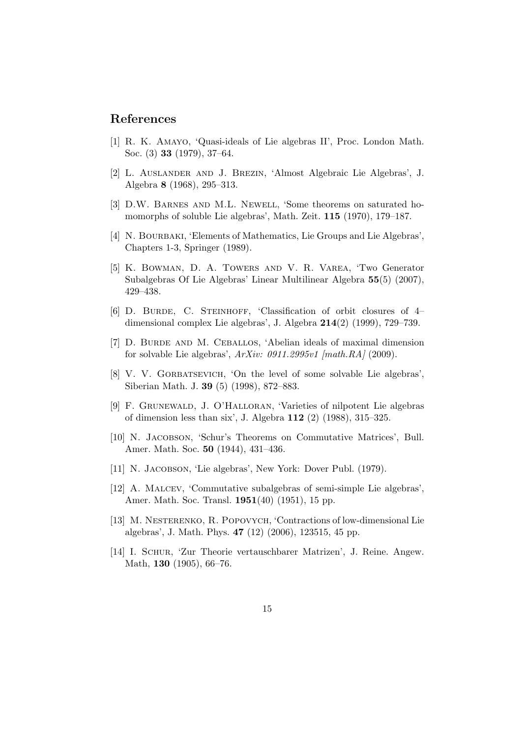#### References

- [1] R. K. Amayo, 'Quasi-ideals of Lie algebras II', Proc. London Math. Soc. (3) 33 (1979), 37–64.
- [2] L. Auslander and J. Brezin, 'Almost Algebraic Lie Algebras', J. Algebra 8 (1968), 295–313.
- [3] D.W. Barnes and M.L. Newell, 'Some theorems on saturated homomorphs of soluble Lie algebras', Math. Zeit. 115 (1970), 179–187.
- [4] N. BOURBAKI, 'Elements of Mathematics, Lie Groups and Lie Algebras', Chapters 1-3, Springer (1989).
- [5] K. Bowman, D. A. Towers and V. R. Varea, 'Two Generator Subalgebras Of Lie Algebras' Linear Multilinear Algebra 55(5) (2007), 429–438.
- [6] D. BURDE, C. STEINHOFF, 'Classification of orbit closures of 4– dimensional complex Lie algebras', J. Algebra 214(2) (1999), 729–739.
- [7] D. BURDE AND M. CEBALLOS, 'Abelian ideals of maximal dimension for solvable Lie algebras', ArXiv: 0911.2995v1 [math.RA] (2009).
- [8] V. V. GORBATSEVICH, 'On the level of some solvable Lie algebras', Siberian Math. J. 39 (5) (1998), 872–883.
- [9] F. Grunewald, J. O'Halloran, 'Varieties of nilpotent Lie algebras of dimension less than six', J. Algebra 112 (2) (1988), 315–325.
- [10] N. JACOBSON, 'Schur's Theorems on Commutative Matrices', Bull. Amer. Math. Soc. 50 (1944), 431–436.
- [11] N. JACOBSON, 'Lie algebras', New York: Dover Publ. (1979).
- [12] A. Malcev, 'Commutative subalgebras of semi-simple Lie algebras', Amer. Math. Soc. Transl. 1951(40) (1951), 15 pp.
- [13] M. Nesterenko, R. Popovych, 'Contractions of low-dimensional Lie algebras', J. Math. Phys. 47 (12) (2006), 123515, 45 pp.
- [14] I. Schur, 'Zur Theorie vertauschbarer Matrizen', J. Reine. Angew. Math, 130 (1905), 66–76.